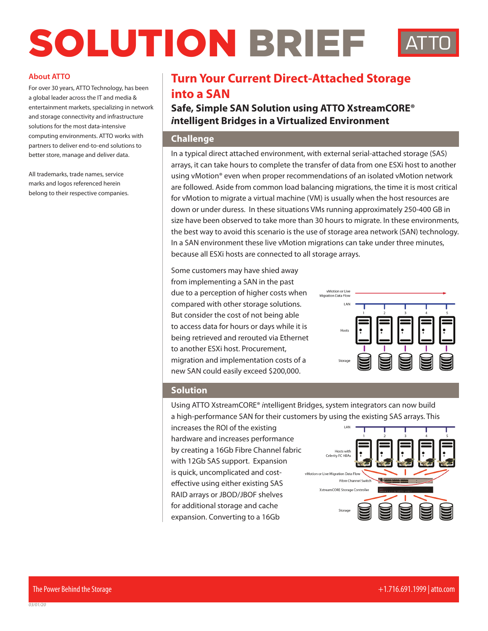# SOLUTION BRIEF

#### **About ATTO**

For over 30 years, ATTO Technology, has been a global leader across the IT and media & entertainment markets, specializing in network and storage connectivity and infrastructure solutions for the most data-intensive computing environments. ATTO works with partners to deliver end-to-end solutions to better store, manage and deliver data.

All trademarks, trade names, service marks and logos referenced herein belong to their respective companies.

## **Turn Your Current Direct-Attached Storage into a SAN**

**Safe, Simple SAN Solution using ATTO XstreamCORE®**  *i***ntelligent Bridges in a Virtualized Environment**

#### **Challenge**

In a typical direct attached environment, with external serial-attached storage (SAS) arrays, it can take hours to complete the transfer of data from one ESXi host to another using vMotion® even when proper recommendations of an isolated vMotion network are followed. Aside from common load balancing migrations, the time it is most critical for vMotion to migrate a virtual machine (VM) is usually when the host resources are down or under duress. In these situations VMs running approximately 250-400 GB in size have been observed to take more than 30 hours to migrate. In these environments, the best way to avoid this scenario is the use of storage area network (SAN) technology. In a SAN environment these live vMotion migrations can take under three minutes, because all ESXi hosts are connected to all storage arrays.

Some customers may have shied away from implementing a SAN in the past due to a perception of higher costs when compared with other storage solutions. But consider the cost of not being able to access data for hours or days while it is being retrieved and rerouted via Ethernet to another ESXi host. Procurement, migration and implementation costs of a new SAN could easily exceed \$200,000.



### **Solution**

Using ATTO XstreamCORE® *i*ntelligent Bridges, system integrators can now build a high-performance SAN for their customers by using the existing SAS arrays. This

increases the ROI of the existing hardware and increases performance by creating a 16Gb Fibre Channel fabric with 12Gb SAS support. Expansion is quick, uncomplicated and costeffective using either existing SAS RAID arrays or JBOD/JBOF shelves for additional storage and cache expansion. Converting to a 16Gb



*03/01/20*